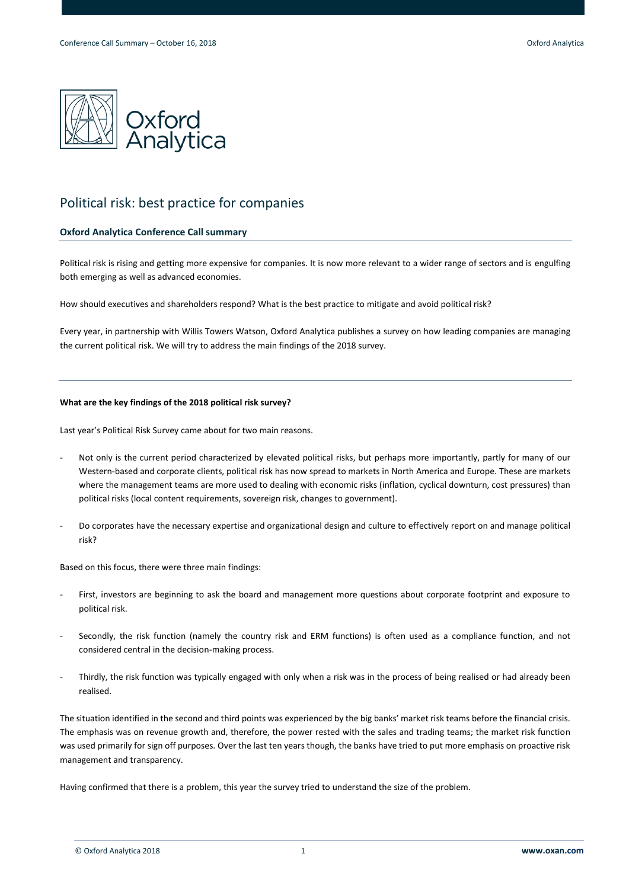

# Political risk: best practice for companies

# **Oxford Analytica Conference Call summary**

Political risk is rising and getting more expensive for companies. It is now more relevant to a wider range of sectors and is engulfing both emerging as well as advanced economies.

How should executives and shareholders respond? What is the best practice to mitigate and avoid political risk?

Every year, in partnership with Willis Towers Watson, Oxford Analytica publishes a survey on how leading companies are managing the current political risk. We will try to address the main findings of the 2018 survey.

# **What are the key findings of the 2018 political risk survey?**

Last year's Political Risk Survey came about for two main reasons.

- Not only is the current period characterized by elevated political risks, but perhaps more importantly, partly for many of our Western-based and corporate clients, political risk has now spread to markets in North America and Europe. These are markets where the management teams are more used to dealing with economic risks (inflation, cyclical downturn, cost pressures) than political risks (local content requirements, sovereign risk, changes to government).
- Do corporates have the necessary expertise and organizational design and culture to effectively report on and manage political risk?

Based on this focus, there were three main findings:

- First, investors are beginning to ask the board and management more questions about corporate footprint and exposure to political risk.
- Secondly, the risk function (namely the country risk and ERM functions) is often used as a compliance function, and not considered central in the decision-making process.
- Thirdly, the risk function was typically engaged with only when a risk was in the process of being realised or had already been realised.

The situation identified in the second and third points was experienced by the big banks' market risk teams before the financial crisis. The emphasis was on revenue growth and, therefore, the power rested with the sales and trading teams; the market risk function was used primarily for sign off purposes. Over the last ten years though, the banks have tried to put more emphasis on proactive risk management and transparency.

Having confirmed that there is a problem, this year the survey tried to understand the size of the problem.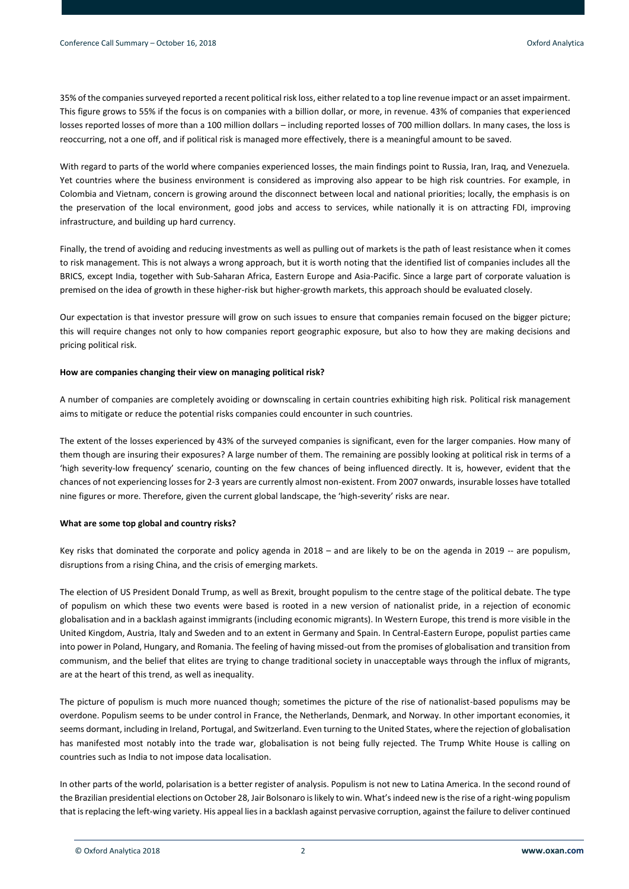35% of the companies surveyed reported a recent political risk loss, either related to a top line revenue impact or an asset impairment. This figure grows to 55% if the focus is on companies with a billion dollar, or more, in revenue. 43% of companies that experienced losses reported losses of more than a 100 million dollars – including reported losses of 700 million dollars. In many cases, the loss is reoccurring, not a one off, and if political risk is managed more effectively, there is a meaningful amount to be saved.

With regard to parts of the world where companies experienced losses, the main findings point to Russia, Iran, Iraq, and Venezuela. Yet countries where the business environment is considered as improving also appear to be high risk countries. For example, in Colombia and Vietnam, concern is growing around the disconnect between local and national priorities; locally, the emphasis is on the preservation of the local environment, good jobs and access to services, while nationally it is on attracting FDI, improving infrastructure, and building up hard currency.

Finally, the trend of avoiding and reducing investments as well as pulling out of markets is the path of least resistance when it comes to risk management. This is not always a wrong approach, but it is worth noting that the identified list of companies includes all the BRICS, except India, together with Sub-Saharan Africa, Eastern Europe and Asia-Pacific. Since a large part of corporate valuation is premised on the idea of growth in these higher-risk but higher-growth markets, this approach should be evaluated closely.

Our expectation is that investor pressure will grow on such issues to ensure that companies remain focused on the bigger picture; this will require changes not only to how companies report geographic exposure, but also to how they are making decisions and pricing political risk.

#### **How are companies changing their view on managing political risk?**

A number of companies are completely avoiding or downscaling in certain countries exhibiting high risk. Political risk management aims to mitigate or reduce the potential risks companies could encounter in such countries.

The extent of the losses experienced by 43% of the surveyed companies is significant, even for the larger companies. How many of them though are insuring their exposures? A large number of them. The remaining are possibly looking at political risk in terms of a 'high severity-low frequency' scenario, counting on the few chances of being influenced directly. It is, however, evident that the chances of not experiencing losses for 2-3 years are currently almost non-existent. From 2007 onwards, insurable losses have totalled nine figures or more. Therefore, given the current global landscape, the 'high-severity' risks are near.

# **What are some top global and country risks?**

Key risks that dominated the corporate and policy agenda in 2018 – and are likely to be on the agenda in 2019 -- are populism, disruptions from a rising China, and the crisis of emerging markets.

The election of US President Donald Trump, as well as Brexit, brought populism to the centre stage of the political debate. The type of populism on which these two events were based is rooted in a new version of nationalist pride, in a rejection of economic globalisation and in a backlash against immigrants (including economic migrants). In Western Europe, this trend is more visible in the United Kingdom, Austria, Italy and Sweden and to an extent in Germany and Spain. In Central-Eastern Europe, populist parties came into power in Poland, Hungary, and Romania. The feeling of having missed-out from the promises of globalisation and transition from communism, and the belief that elites are trying to change traditional society in unacceptable ways through the influx of migrants, are at the heart of this trend, as well as inequality.

The picture of populism is much more nuanced though; sometimes the picture of the rise of nationalist-based populisms may be overdone. Populism seems to be under control in France, the Netherlands, Denmark, and Norway. In other important economies, it seems dormant, including in Ireland, Portugal, and Switzerland. Even turning to the United States, where the rejection of globalisation has manifested most notably into the trade war, globalisation is not being fully rejected. The Trump White House is calling on countries such as India to not impose data localisation.

In other parts of the world, polarisation is a better register of analysis. Populism is not new to Latina America. In the second round of the Brazilian presidential elections on October 28, Jair Bolsonaro is likely to win. What's indeed new is the rise of a right-wing populism that is replacing the left-wing variety. His appeal lies in a backlash against pervasive corruption, against the failure to deliver continued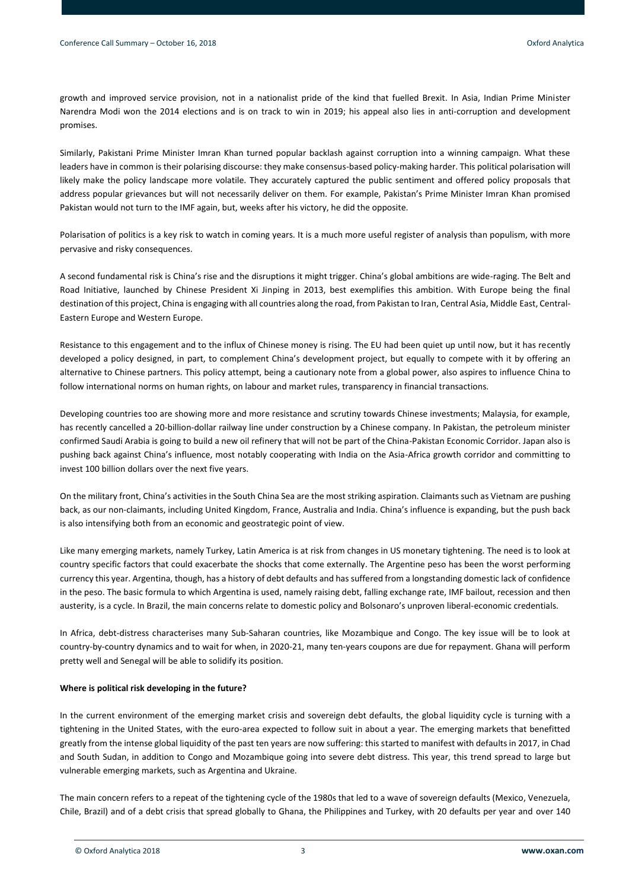growth and improved service provision, not in a nationalist pride of the kind that fuelled Brexit. In Asia, Indian Prime Minister Narendra Modi won the 2014 elections and is on track to win in 2019; his appeal also lies in anti-corruption and development promises.

Similarly, Pakistani Prime Minister Imran Khan turned popular backlash against corruption into a winning campaign. What these leaders have in common is their polarising discourse: they make consensus-based policy-making harder. This political polarisation will likely make the policy landscape more volatile. They accurately captured the public sentiment and offered policy proposals that address popular grievances but will not necessarily deliver on them. For example, Pakistan's Prime Minister Imran Khan promised Pakistan would not turn to the IMF again, but, weeks after his victory, he did the opposite.

Polarisation of politics is a key risk to watch in coming years. It is a much more useful register of analysis than populism, with more pervasive and risky consequences.

A second fundamental risk is China's rise and the disruptions it might trigger. China's global ambitions are wide-raging. The Belt and Road Initiative, launched by Chinese President Xi Jinping in 2013, best exemplifies this ambition. With Europe being the final destination of this project, China is engaging with all countries along the road, from Pakistan to Iran, Central Asia, Middle East, Central-Eastern Europe and Western Europe.

Resistance to this engagement and to the influx of Chinese money is rising. The EU had been quiet up until now, but it has recently developed a policy designed, in part, to complement China's development project, but equally to compete with it by offering an alternative to Chinese partners. This policy attempt, being a cautionary note from a global power, also aspires to influence China to follow international norms on human rights, on labour and market rules, transparency in financial transactions.

Developing countries too are showing more and more resistance and scrutiny towards Chinese investments; Malaysia, for example, has recently cancelled a 20-billion-dollar railway line under construction by a Chinese company. In Pakistan, the petroleum minister confirmed Saudi Arabia is going to build a new oil refinery that will not be part of the China-Pakistan Economic Corridor. Japan also is pushing back against China's influence, most notably cooperating with India on the Asia-Africa growth corridor and committing to invest 100 billion dollars over the next five years.

On the military front, China's activities in the South China Sea are the most striking aspiration. Claimants such as Vietnam are pushing back, as our non-claimants, including United Kingdom, France, Australia and India. China's influence is expanding, but the push back is also intensifying both from an economic and geostrategic point of view.

Like many emerging markets, namely Turkey, Latin America is at risk from changes in US monetary tightening. The need is to look at country specific factors that could exacerbate the shocks that come externally. The Argentine peso has been the worst performing currency this year. Argentina, though, has a history of debt defaults and has suffered from a longstanding domestic lack of confidence in the peso. The basic formula to which Argentina is used, namely raising debt, falling exchange rate, IMF bailout, recession and then austerity, is a cycle. In Brazil, the main concerns relate to domestic policy and Bolsonaro's unproven liberal-economic credentials.

In Africa, debt-distress characterises many Sub-Saharan countries, like Mozambique and Congo. The key issue will be to look at country-by-country dynamics and to wait for when, in 2020-21, many ten-years coupons are due for repayment. Ghana will perform pretty well and Senegal will be able to solidify its position.

# **Where is political risk developing in the future?**

In the current environment of the emerging market crisis and sovereign debt defaults, the global liquidity cycle is turning with a tightening in the United States, with the euro-area expected to follow suit in about a year. The emerging markets that benefitted greatly from the intense global liquidity of the past ten years are now suffering: this started to manifest with defaults in 2017, in Chad and South Sudan, in addition to Congo and Mozambique going into severe debt distress. This year, this trend spread to large but vulnerable emerging markets, such as Argentina and Ukraine.

The main concern refers to a repeat of the tightening cycle of the 1980s that led to a wave of sovereign defaults (Mexico, Venezuela, Chile, Brazil) and of a debt crisis that spread globally to Ghana, the Philippines and Turkey, with 20 defaults per year and over 140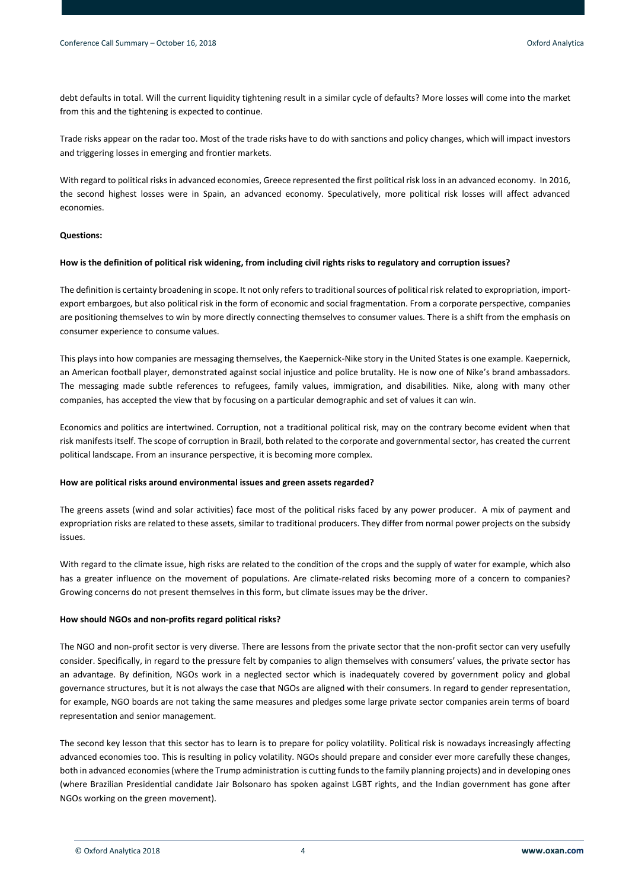debt defaults in total. Will the current liquidity tightening result in a similar cycle of defaults? More losses will come into the market from this and the tightening is expected to continue.

Trade risks appear on the radar too. Most of the trade risks have to do with sanctions and policy changes, which will impact investors and triggering losses in emerging and frontier markets.

With regard to political risks in advanced economies, Greece represented the first political risk loss in an advanced economy. In 2016, the second highest losses were in Spain, an advanced economy. Speculatively, more political risk losses will affect advanced economies.

#### **Questions:**

#### **How is the definition of political risk widening, from including civil rights risks to regulatory and corruption issues?**

The definition is certainty broadening in scope. It not only refers to traditional sources of political risk related to expropriation, importexport embargoes, but also political risk in the form of economic and social fragmentation. From a corporate perspective, companies are positioning themselves to win by more directly connecting themselves to consumer values. There is a shift from the emphasis on consumer experience to consume values.

This plays into how companies are messaging themselves, the Kaepernick-Nike story in the United States is one example. Kaepernick, an American football player, demonstrated against social injustice and police brutality. He is now one of Nike's brand ambassadors. The messaging made subtle references to refugees, family values, immigration, and disabilities. Nike, along with many other companies, has accepted the view that by focusing on a particular demographic and set of values it can win.

Economics and politics are intertwined. Corruption, not a traditional political risk, may on the contrary become evident when that risk manifests itself. The scope of corruption in Brazil, both related to the corporate and governmental sector, has created the current political landscape. From an insurance perspective, it is becoming more complex.

#### **How are political risks around environmental issues and green assets regarded?**

The greens assets (wind and solar activities) face most of the political risks faced by any power producer. A mix of payment and expropriation risks are related to these assets, similar to traditional producers. They differ from normal power projects on the subsidy issues.

With regard to the climate issue, high risks are related to the condition of the crops and the supply of water for example, which also has a greater influence on the movement of populations. Are climate-related risks becoming more of a concern to companies? Growing concerns do not present themselves in this form, but climate issues may be the driver.

#### **How should NGOs and non-profits regard political risks?**

The NGO and non-profit sector is very diverse. There are lessons from the private sector that the non-profit sector can very usefully consider. Specifically, in regard to the pressure felt by companies to align themselves with consumers' values, the private sector has an advantage. By definition, NGOs work in a neglected sector which is inadequately covered by government policy and global governance structures, but it is not always the case that NGOs are aligned with their consumers. In regard to gender representation, for example, NGO boards are not taking the same measures and pledges some large private sector companies arein terms of board representation and senior management.

The second key lesson that this sector has to learn is to prepare for policy volatility. Political risk is nowadays increasingly affecting advanced economies too. This is resulting in policy volatility. NGOs should prepare and consider ever more carefully these changes, both in advanced economies (where the Trump administration is cutting funds to the family planning projects) and in developing ones (where Brazilian Presidential candidate Jair Bolsonaro has spoken against LGBT rights, and the Indian government has gone after NGOs working on the green movement).